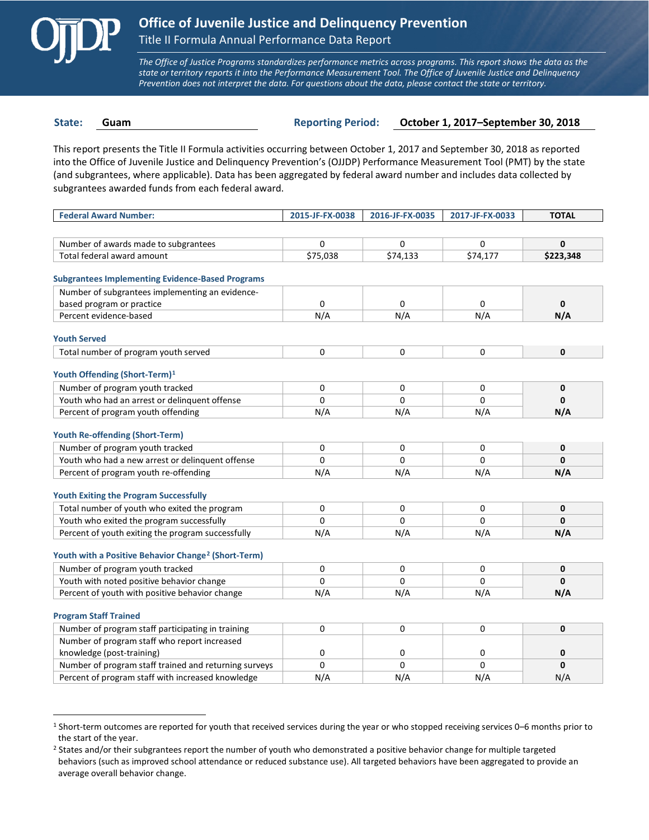

 $\overline{a}$ 

*The Office of Justice Programs standardizes performance metrics across programs. This report shows the data as the state or territory reports it into the Performance Measurement Tool. The Office of Juvenile Justice and Delinquency Prevention does not interpret the data. For questions about the data, please contact the state or territory.*

**State: Guam Reporting Period: October 1, 2017–September 30, 2018**

This report presents the Title II Formula activities occurring between October 1, 2017 and September 30, 2018 as reported into the Office of Juvenile Justice and Delinquency Prevention's (OJJDP) Performance Measurement Tool (PMT) by the state (and subgrantees, where applicable). Data has been aggregated by federal award number and includes data collected by subgrantees awarded funds from each federal award.

| <b>Federal Award Number:</b>                                    | 2015-JF-FX-0038 | 2016-JF-FX-0035 | 2017-JF-FX-0033 | <b>TOTAL</b> |
|-----------------------------------------------------------------|-----------------|-----------------|-----------------|--------------|
|                                                                 |                 |                 |                 |              |
| Number of awards made to subgrantees                            | 0               | 0               | 0               | $\mathbf{0}$ |
| Total federal award amount                                      | \$75,038        | \$74,133        | \$74,177        | \$223,348    |
|                                                                 |                 |                 |                 |              |
| <b>Subgrantees Implementing Evidence-Based Programs</b>         |                 |                 |                 |              |
| Number of subgrantees implementing an evidence-                 |                 |                 |                 |              |
| based program or practice                                       | 0               | 0               | 0               | $\mathbf 0$  |
| Percent evidence-based                                          | N/A             | N/A             | N/A             | N/A          |
| <b>Youth Served</b>                                             |                 |                 |                 |              |
| Total number of program youth served                            | 0               | 0               | 0               | $\mathbf 0$  |
|                                                                 |                 |                 |                 |              |
| Youth Offending (Short-Term) <sup>1</sup>                       |                 |                 |                 |              |
| Number of program youth tracked                                 | 0               | 0               | 0               | $\mathbf 0$  |
| Youth who had an arrest or delinquent offense                   | $\Omega$        | $\Omega$        | $\Omega$        | $\mathbf{0}$ |
| Percent of program youth offending                              | N/A             | N/A             | N/A             | N/A          |
|                                                                 |                 |                 |                 |              |
| <b>Youth Re-offending (Short-Term)</b>                          |                 |                 |                 |              |
| Number of program youth tracked                                 | 0               | 0               | 0               | 0            |
| Youth who had a new arrest or delinguent offense                | $\Omega$        | $\Omega$        | 0               | $\mathbf{0}$ |
| Percent of program youth re-offending                           | N/A             | N/A             | N/A             | N/A          |
| <b>Youth Exiting the Program Successfully</b>                   |                 |                 |                 |              |
| Total number of youth who exited the program                    | $\Omega$        | $\Omega$        | $\Omega$        | $\mathbf{0}$ |
| Youth who exited the program successfully                       | $\Omega$        | $\Omega$        | $\Omega$        | $\mathbf{0}$ |
| Percent of youth exiting the program successfully               | N/A             | N/A             | N/A             | N/A          |
|                                                                 |                 |                 |                 |              |
| Youth with a Positive Behavior Change <sup>2</sup> (Short-Term) |                 |                 |                 |              |
| Number of program youth tracked                                 | 0               | 0               | 0               | $\mathbf 0$  |
| Youth with noted positive behavior change                       | $\Omega$        | $\Omega$        | $\Omega$        | $\mathbf{0}$ |
| Percent of youth with positive behavior change                  | N/A             | N/A             | N/A             | N/A          |
|                                                                 |                 |                 |                 |              |
| <b>Program Staff Trained</b>                                    |                 |                 |                 |              |
| Number of program staff participating in training               | 0               | 0               | 0               | $\mathbf 0$  |
| Number of program staff who report increased                    |                 |                 |                 |              |
| knowledge (post-training)                                       | 0               | 0               | 0               | 0            |
| Number of program staff trained and returning surveys           | $\Omega$        | 0               | 0               | $\mathbf{0}$ |
| Percent of program staff with increased knowledge               | N/A             | N/A             | N/A             | N/A          |

<span id="page-0-0"></span><sup>1</sup> Short-term outcomes are reported for youth that received services during the year or who stopped receiving services 0–6 months prior to the start of the year.

<span id="page-0-1"></span><sup>&</sup>lt;sup>2</sup> States and/or their subgrantees report the number of youth who demonstrated a positive behavior change for multiple targeted behaviors (such as improved school attendance or reduced substance use). All targeted behaviors have been aggregated to provide an average overall behavior change.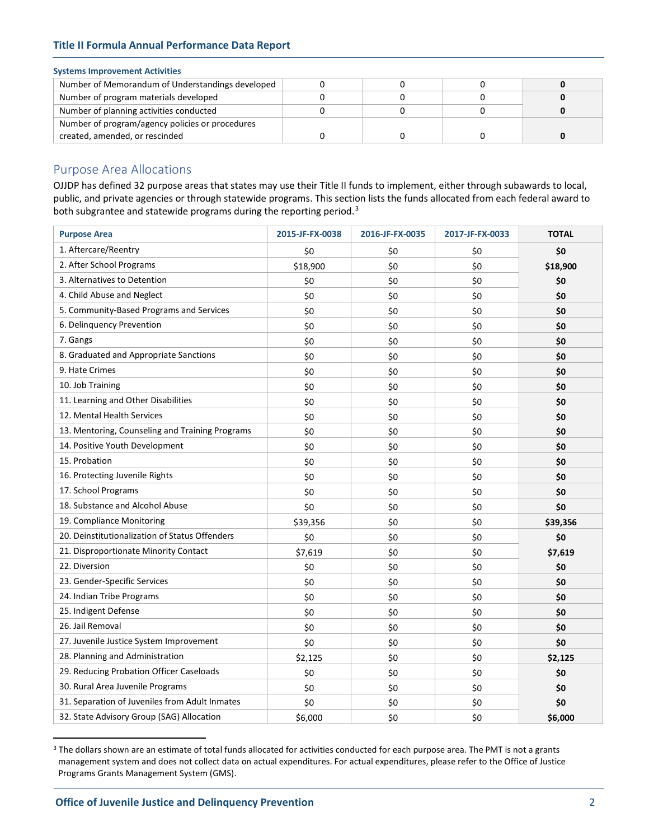## **Title II Formula Annual Performance Data Report**

### **Systems Improvement Activities**

| Number of Memorandum of Understandings developed |  |  |
|--------------------------------------------------|--|--|
| Number of program materials developed            |  |  |
| Number of planning activities conducted          |  |  |
| Number of program/agency policies or procedures  |  |  |
| created, amended, or rescinded                   |  |  |

## Purpose Area Allocations

OJJDP has defined 32 purpose areas that states may use their Title II funds to implement, either through subawards to local, public, and private agencies or through statewide programs. This section lists the funds allocated from each federal award to both subgrantee and statewide programs during the reporting period.<sup>[3](#page-1-0)</sup>

| <b>Purpose Area</b>                             | 2015-JF-FX-0038 | 2016-JF-FX-0035 | 2017-JF-FX-0033 | <b>TOTAL</b> |
|-------------------------------------------------|-----------------|-----------------|-----------------|--------------|
| 1. Aftercare/Reentry                            | \$0             | \$0             | \$0             | \$0          |
| 2. After School Programs                        | \$18,900        | \$0             | \$0             | \$18,900     |
| 3. Alternatives to Detention                    | \$0             | \$0             | \$0             | \$0          |
| 4. Child Abuse and Neglect                      | \$0             | \$0             | \$0             | \$0          |
| 5. Community-Based Programs and Services        | \$0             | \$0             | \$0             | \$0          |
| 6. Delinquency Prevention                       | \$0             | \$0             | \$0             | \$0          |
| 7. Gangs                                        | \$0             | \$0             | \$0             | \$0          |
| 8. Graduated and Appropriate Sanctions          | \$0             | \$0             | \$0             | \$0          |
| 9. Hate Crimes                                  | \$0             | \$0             | \$0             | \$0          |
| 10. Job Training                                | \$0             | \$0             | \$0             | \$0          |
| 11. Learning and Other Disabilities             | \$0             | \$0             | \$0             | \$0          |
| 12. Mental Health Services                      | \$0             | \$0             | \$0             | \$0          |
| 13. Mentoring, Counseling and Training Programs | \$0             | \$0             | \$0             | \$0          |
| 14. Positive Youth Development                  | \$0             | \$0             | \$0             | \$0          |
| 15. Probation                                   | \$0             | \$0             | \$0             | \$0          |
| 16. Protecting Juvenile Rights                  | \$0             | \$0             | \$0             | \$0          |
| 17. School Programs                             | \$0             | \$0             | \$0             | \$0          |
| 18. Substance and Alcohol Abuse                 | \$0             | \$0             | \$0             | \$0          |
| 19. Compliance Monitoring                       | \$39,356        | \$0             | \$0             | \$39,356     |
| 20. Deinstitutionalization of Status Offenders  | \$0             | \$0             | \$0             | \$0          |
| 21. Disproportionate Minority Contact           | \$7,619         | \$0             | \$0             | \$7,619      |
| 22. Diversion                                   | \$0             | \$0             | \$0             | \$0          |
| 23. Gender-Specific Services                    | \$0             | \$0             | \$0             | \$0          |
| 24. Indian Tribe Programs                       | \$0             | \$0             | \$0             | \$0          |
| 25. Indigent Defense                            | \$0             | \$0             | \$0             | \$0          |
| 26. Jail Removal                                | \$0             | \$0             | \$0             | \$0          |
| 27. Juvenile Justice System Improvement         | \$0             | \$0             | \$0             | \$0          |
| 28. Planning and Administration                 | \$2,125         | \$0             | \$0             | \$2,125      |
| 29. Reducing Probation Officer Caseloads        | \$0             | \$0             | \$0             | \$0          |
| 30. Rural Area Juvenile Programs                | \$0             | \$0             | \$0             | \$0          |
| 31. Separation of Juveniles from Adult Inmates  | \$0             | \$0             | \$0             | \$0          |
| 32. State Advisory Group (SAG) Allocation       | \$6,000         | \$0             | \$0             | \$6,000      |

<span id="page-1-0"></span><sup>&</sup>lt;sup>3</sup> The dollars shown are an estimate of total funds allocated for activities conducted for each purpose area. The PMT is not a grants management system and does not collect data on actual expenditures. For actual expenditures, please refer to the Office of Justice Programs Grants Management System (GMS).

 $\overline{a}$